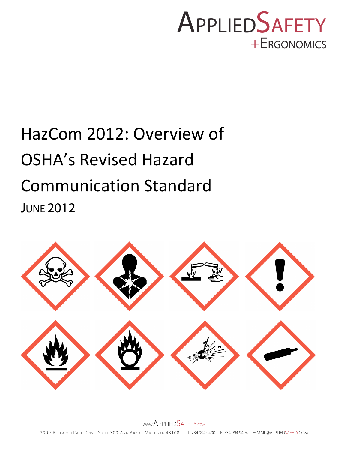## **APPLIEDSAFETY** +ERGONOMICS

# HazCom 2012: Overview of OSHA's Revised Hazard Communication Standard **JUNE 2012**

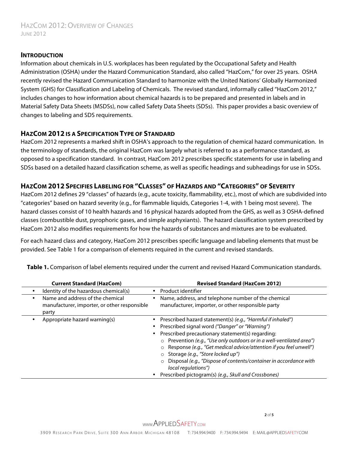#### **INTRODUCTION**

Information about chemicals in U.S. workplaces has been regulated by the Occupational Safety and Health Administration (OSHA) under the Hazard Communication Standard, also called "HazCom," for over 25 years. OSHA recently revised the Hazard Communication Standard to harmonize with the United Nations' Globally Harmonized System (GHS) for Classification and Labeling of Chemicals. The revised standard, informally called "HazCom 2012," includes changes to how information about chemical hazards is to be prepared and presented in labels and in Material Safety Data Sheets (MSDSs), now called Safety Data Sheets (SDSs). This paper provides a basic overview of changes to labeling and SDS requirements.

### **HAZCOM 2012 IS A SPECIFICATION TYPE OF STANDARD**

HazCom 2012 represents a marked shift in OSHA's approach to the regulation of chemical hazard communication. In the terminology of standards, the original HazCom was largely what is referred to as a performance standard, as opposed to a specification standard. In contrast, HazCom 2012 prescribes specific statements for use in labeling and SDSs based on a detailed hazard classification scheme, as well as specific headings and subheadings for use in SDSs.

## **HAZCOM 2012 SPECIFIES LABELING FOR "CLASSES" OF HAZARDS AND "CATEGORIES" OF SEVERITY**

HazCom 2012 defines 29 "classes" of hazards (e.g., acute toxicity, flammability, etc.), most of which are subdivided into "categories" based on hazard severity (e.g., for flammable liquids, Categories 1-4, with 1 being most severe). The hazard classes consist of 10 health hazards and 16 physical hazards adopted from the GHS, as well as 3 OSHA-defined classes (combustible dust, pyrophoric gases, and simple asphyxiants). The hazard classification system prescribed by HazCom 2012 also modifies requirements for how the hazards of substances and mixtures are to be evaluated.

For each hazard class and category, HazCom 2012 prescribes specific language and labeling elements that must be provided. See Table 1 for a comparison of elements required in the current and revised standards.

| <b>Current Standard (HazCom)</b>                                                               | <b>Revised Standard (HazCom 2012)</b>                                                                                                                                                                                                                                                                                                                                                                                                                                                                                                                |
|------------------------------------------------------------------------------------------------|------------------------------------------------------------------------------------------------------------------------------------------------------------------------------------------------------------------------------------------------------------------------------------------------------------------------------------------------------------------------------------------------------------------------------------------------------------------------------------------------------------------------------------------------------|
| Identity of the hazardous chemical(s)                                                          | Product identifier                                                                                                                                                                                                                                                                                                                                                                                                                                                                                                                                   |
| Name and address of the chemical<br>٠<br>manufacturer, importer, or other responsible<br>party | Name, address, and telephone number of the chemical<br>manufacturer, importer, or other responsible party                                                                                                                                                                                                                                                                                                                                                                                                                                            |
| Appropriate hazard warning(s)                                                                  | Prescribed hazard statement(s) (e.g., "Harmful if inhaled")<br>$\bullet$<br>• Prescribed signal word ("Danger" or "Warning")<br>Prescribed precautionary statement(s) regarding:<br>$\bullet$<br>o Prevention (e.g., "Use only outdoors or in a well-ventilated area")<br>o Response (e.g., "Get medical advice/attention if you feel unwell")<br>o Storage (e.g., "Store locked up")<br>Disposal (e.g., "Dispose of contents/container in accordance with<br>$\circ$<br>local regulations")<br>Prescribed pictogram(s) (e.g., Skull and Crossbones) |

**Table 1.** Comparison of label elements required under the current and revised Hazard Communication standards.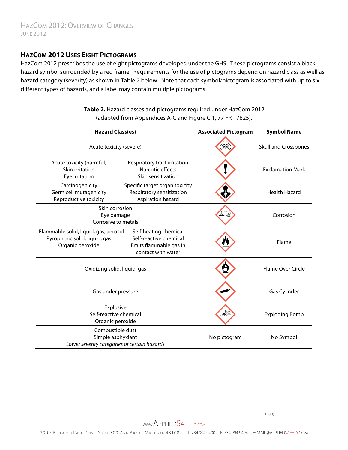## **HAZCOM 2012 USES EIGHT PICTOGRAMS**

HazCom 2012 prescribes the use of eight pictograms developed under the GHS. These pictograms consist a black hazard symbol surrounded by a red frame. Requirements for the use of pictograms depend on hazard class as well as hazard category (severity) as shown in Table 2 below. Note that each symbol/pictogram is associated with up to six different types of hazards, and a label may contain multiple pictograms.

| <b>Hazard Class(es)</b>                                                                    |                                                                                                 | <b>Associated Pictogram</b> | <b>Symbol Name</b>          |
|--------------------------------------------------------------------------------------------|-------------------------------------------------------------------------------------------------|-----------------------------|-----------------------------|
| Acute toxicity (severe)                                                                    |                                                                                                 |                             | <b>Skull and Crossbones</b> |
| Acute toxicity (harmful)<br>Skin irritation<br>Eye irritation                              | Respiratory tract irritation<br>Narcotic effects<br>Skin sensitization                          |                             | <b>Exclamation Mark</b>     |
| Carcinogenicity<br>Germ cell mutagenicity<br>Reproductive toxicity                         | Specific target organ toxicity<br>Respiratory sensitization<br>Aspiration hazard                |                             | <b>Health Hazard</b>        |
| Skin corrosion<br>Eye damage<br>Corrosive to metals                                        |                                                                                                 |                             | Corrosion                   |
| Flammable solid, liquid, gas, aerosol<br>Pyrophoric solid, liquid, gas<br>Organic peroxide | Self-heating chemical<br>Self-reactive chemical<br>Emits flammable gas in<br>contact with water |                             | Flame                       |
| Oxidizing solid, liquid, gas                                                               |                                                                                                 |                             | <b>Flame Over Circle</b>    |
| Gas under pressure                                                                         |                                                                                                 |                             | Gas Cylinder                |
| Explosive<br>Self-reactive chemical<br>Organic peroxide                                    |                                                                                                 |                             | <b>Exploding Bomb</b>       |
| Combustible dust<br>Simple asphyxiant<br>Lower severity categories of certain hazards      |                                                                                                 | No pictogram                | No Symbol                   |

**Table 2.** Hazard classes and pictograms required under HazCom 2012 (adapted from Appendices A-C and Figure C.1, 77 FR 17825).

 **3** of **5**

WWW.APPLIEDSAFETY.COM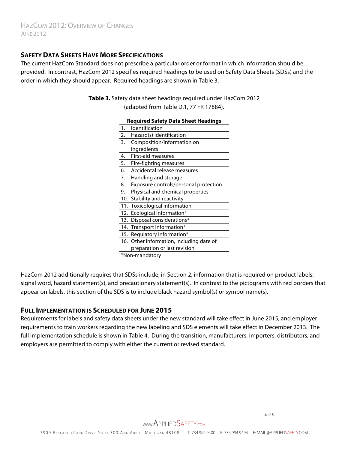## **SAFETY DATA SHEETS HAVE MORE SPECIFICATIONS**

The current HazCom Standard does not prescribe a particular order or format in which information should be provided. In contrast, HazCom 2012 specifies required headings to be used on Safety Data Sheets (SDSs) and the order in which they should appear. Required headings are shown in Table 3.

#### **Table 3.** Safety data sheet headings required under HazCom 2012 (adapted from Table D.1, 77 FR 17884).

#### **Required Safety Data Sheet Headings**

| 1.  | Identification                           |  |  |
|-----|------------------------------------------|--|--|
| 2.  | Hazard(s) identification                 |  |  |
| 3.  | Composition/information on               |  |  |
|     | ingredients                              |  |  |
| 4.  | First-aid measures                       |  |  |
| 5.  | Fire-fighting measures                   |  |  |
| 6.  | Accidental release measures              |  |  |
| 7.  | Handling and storage                     |  |  |
| 8.  | Exposure controls/personal protection    |  |  |
| 9.  | Physical and chemical properties         |  |  |
| 10. | Stability and reactivity                 |  |  |
| 11. | Toxicological information                |  |  |
|     | 12. Ecological information*              |  |  |
|     | 13. Disposal considerations*             |  |  |
|     | 14. Transport information*               |  |  |
|     | 15. Regulatory information*              |  |  |
|     | 16. Other information, including date of |  |  |
|     | preparation or last revision             |  |  |
|     | *Non-mandatory                           |  |  |

HazCom 2012 additionally requires that SDSs include, in Section 2, information that is required on product labels: signal word, hazard statement(s), and precautionary statement(s). In contrast to the pictograms with red borders that appear on labels, this section of the SDS is to include black hazard symbol(s) or symbol name(s).

#### **FULL IMPLEMENTATION IS SCHEDULED FOR JUNE 2015**

Requirements for labels and safety data sheets under the new standard will take effect in June 2015, and employer requirements to train workers regarding the new labeling and SDS elements will take effect in December 2013. The full implementation schedule is shown in Table 4. During the transition, manufacturers, importers, distributors, and employers are permitted to comply with either the current or revised standard.